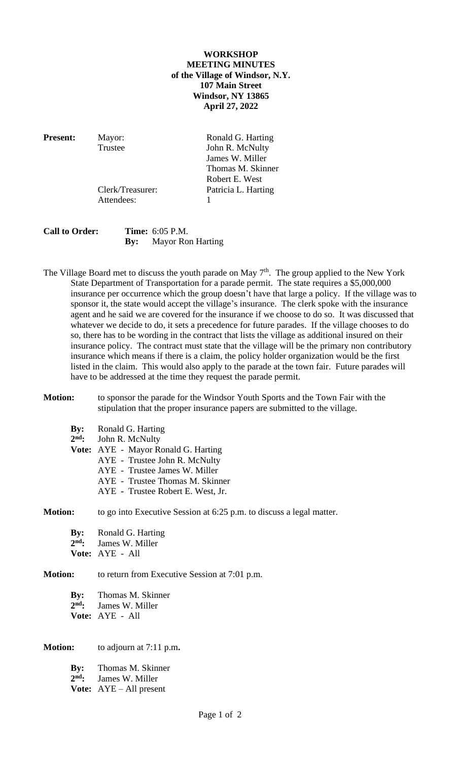## **WORKSHOP MEETING MINUTES of the Village of Windsor, N.Y. 107 Main Street Windsor, NY 13865 April 27, 2022**

Attendees: 1

**Present:** Mayor: Ronald G. Harting Trustee John R. McNulty James W. Miller Thomas M. Skinner Robert E. West Clerk/Treasurer: Patricia L. Harting

# **Call to Order: Time:** 6:05 P.M. **By:** Mayor Ron Harting

The Village Board met to discuss the youth parade on May 7<sup>th</sup>. The group applied to the New York State Department of Transportation for a parade permit. The state requires a \$5,000,000 insurance per occurrence which the group doesn't have that large a policy. If the village was to sponsor it, the state would accept the village's insurance. The clerk spoke with the insurance agent and he said we are covered for the insurance if we choose to do so. It was discussed that whatever we decide to do, it sets a precedence for future parades. If the village chooses to do so, there has to be wording in the contract that lists the village as additional insured on their insurance policy. The contract must state that the village will be the primary non contributory insurance which means if there is a claim, the policy holder organization would be the first listed in the claim. This would also apply to the parade at the town fair. Future parades will have to be addressed at the time they request the parade permit.

#### **Motion:** to sponsor the parade for the Windsor Youth Sports and the Town Fair with the stipulation that the proper insurance papers are submitted to the village.

- **By:** Ronald G. Harting 2<sup>nd</sup>: **John R. McNulty**
- **Vote:** AYE Mayor Ronald G. Harting
	- AYE Trustee John R. McNulty
	- AYE Trustee James W. Miller
	- AYE Trustee Thomas M. Skinner
	- AYE **-** Trustee Robert E. West, Jr.

## **Motion:** to go into Executive Session at 6:25 p.m. to discuss a legal matter.

**By:** Ronald G. Harting 2nd. James W. Miller **Vote:** AYE - All

## **Motion:** to return from Executive Session at 7:01 p.m.

**By:** Thomas M. Skinner  $2<sup>nd</sup>$ : James W. Miller **Vote:** AYE - All

**Motion:** to adjourn at 7:11 p.m**.**

**By:** Thomas M. Skinner 2<sup>nd</sup>: James W. Miller **Vote:** AYE – All present